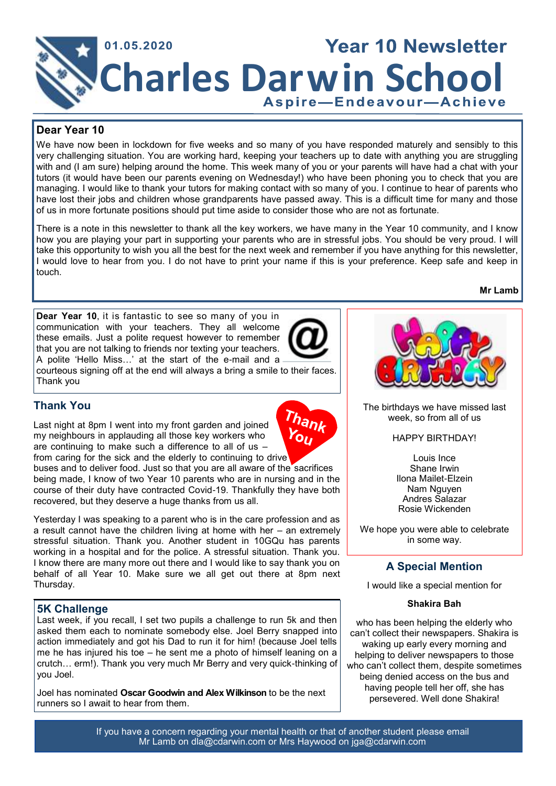

## **Dear Year 10**

We have now been in lockdown for five weeks and so many of you have responded maturely and sensibly to this very challenging situation. You are working hard, keeping your teachers up to date with anything you are struggling with and (I am sure) helping around the home. This week many of you or your parents will have had a chat with your tutors (it would have been our parents evening on Wednesday!) who have been phoning you to check that you are managing. I would like to thank your tutors for making contact with so many of you. I continue to hear of parents who have lost their jobs and children whose grandparents have passed away. This is a difficult time for many and those of us in more fortunate positions should put time aside to consider those who are not as fortunate.

There is a note in this newsletter to thank all the key workers, we have many in the Year 10 community, and I know how you are playing your part in supporting your parents who are in stressful jobs. You should be very proud. I will take this opportunity to wish you all the best for the next week and remember if you have anything for this newsletter, I would love to hear from you. I do not have to print your name if this is your preference. Keep safe and keep in touch.

**Dear Year 10**, it is fantastic to see so many of you in communication with your teachers. They all welcome these emails. Just a polite request however to remember that you are not talking to friends nor texting your teachers. A polite 'Hello Miss…' at the start of the e-mail and a courteous signing off at the end will always a bring a smile to their faces. Thank you



 $Y_{\rm O}$ 

# **Thank You**

Last night at 8pm I went into my front garden and joined my neighbours in applauding all those key workers who are continuing to make such a difference to all of us – from caring for the sick and the elderly to continuing to drive

buses and to deliver food. Just so that you are all aware of the sacrifices being made, I know of two Year 10 parents who are in nursing and in the course of their duty have contracted Covid-19. Thankfully they have both recovered, but they deserve a huge thanks from us all.

Yesterday I was speaking to a parent who is in the care profession and as a result cannot have the children living at home with her – an extremely stressful situation. Thank you. Another student in 10GQu has parents working in a hospital and for the police. A stressful situation. Thank you. I know there are many more out there and I would like to say thank you on behalf of all Year 10. Make sure we all get out there at 8pm next Thursday.

### **5K Challenge**

Last week, if you recall, I set two pupils a challenge to run 5k and then asked them each to nominate somebody else. Joel Berry snapped into action immediately and got his Dad to run it for him! (because Joel tells me he has injured his toe – he sent me a photo of himself leaning on a crutch… erm!). Thank you very much Mr Berry and very quick-thinking of you Joel.

Joel has nominated **Oscar Goodwin and Alex Wilkinson** to be the next runners so I await to hear from them.

The birthdays we have missed last week, so from all of us

#### HAPPY BIRTHDAY!

Louis Ince Shane Irwin Ilona Mailet-Elzein Nam Nguyen Andres Salazar Rosie Wickenden

We hope you were able to celebrate in some way.

# **A Special Mention**

I would like a special mention for

#### **Shakira Bah**

who has been helping the elderly who can't collect their newspapers. Shakira is waking up early every morning and helping to deliver newspapers to those who can't collect them, despite sometimes being denied access on the bus and having people tell her off, she has persevered. Well done Shakira!

If you have a concern regarding your mental health or that of another student please email Mr Lamb on dla@cdarwin.com or Mrs Haywood on jga@cdarwin.com

#### **Mr Lamb**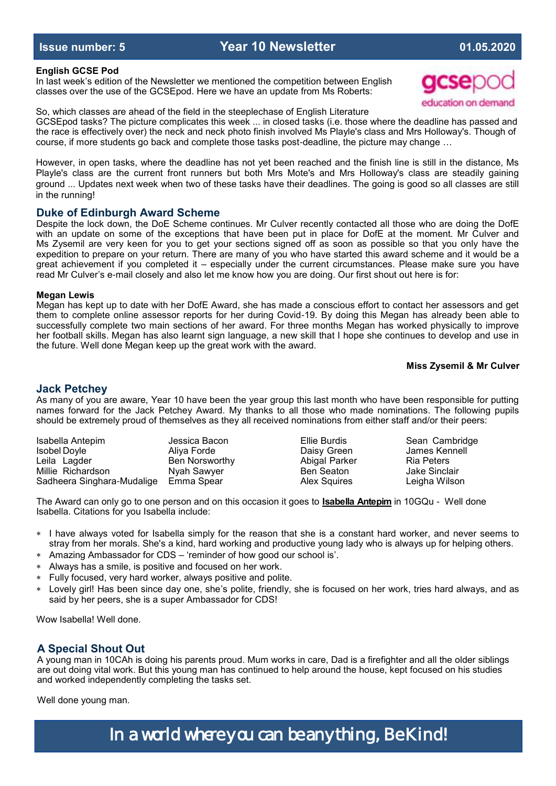#### **English GCSE Pod**

In last week's edition of the Newsletter we mentioned the competition between English classes over the use of the GCSEpod. Here we have an update from Ms Roberts:

So, which classes are ahead of the field in the steeplechase of English Literature GCSEpod tasks? The picture complicates this week ... in closed tasks (i.e. those where the deadline has passed and the race is effectively over) the neck and neck photo finish involved Ms Playle's class and Mrs Holloway's. Though of course, if more students go back and complete those tasks post-deadline, the picture may change …

However, in open tasks, where the deadline has not yet been reached and the finish line is still in the distance, Ms Playle's class are the current front runners but both Mrs Mote's and Mrs Holloway's class are steadily gaining ground ... Updates next week when two of these tasks have their deadlines. The going is good so all classes are still in the running!

#### **Duke of Edinburgh Award Scheme**

Despite the lock down, the DoE Scheme continues. Mr Culver recently contacted all those who are doing the DofE with an update on some of the exceptions that have been put in place for DofE at the moment. Mr Culver and Ms Zysemil are very keen for you to get your sections signed off as soon as possible so that you only have the expedition to prepare on your return. There are many of you who have started this award scheme and it would be a great achievement if you completed it – especially under the current circumstances. Please make sure you have read Mr Culver's e-mail closely and also let me know how you are doing. Our first shout out here is for:

#### **Megan Lewis**

Megan has kept up to date with her DofE Award, she has made a conscious effort to contact her assessors and get them to complete online assessor reports for her during Covid-19. By doing this Megan has already been able to successfully complete two main sections of her award. For three months Megan has worked physically to improve her football skills. Megan has also learnt sign language, a new skill that I hope she continues to develop and use in the future. Well done Megan keep up the great work with the award.

#### **Miss Zysemil & Mr Culver**

#### **Jack Petchey**

As many of you are aware, Year 10 have been the year group this last month who have been responsible for putting names forward for the Jack Petchey Award. My thanks to all those who made nominations. The following pupils should be extremely proud of themselves as they all received nominations from either staff and/or their peers:

| Isabella Antepim           | Jessica Bacon        |
|----------------------------|----------------------|
| <b>Isobel Doyle</b>        | Aliya Forde          |
| Leila Lagder               | <b>Ben Norsworth</b> |
| Millie Richardson          | Nyah Sawyer          |
| Sadheera Singhara-Mudalige | Emma Spear           |

ly and Abigal Parker Ria Peters Ben Seaton **Jake Sinclair** Alex Squires Leigha Wilson

Ellie Burdis **Internal Antibox** Sean Cambridge Daisy Green James Kennell

The Award can only go to one person and on this occasion it goes to **Isabella Antepim** in 10GQu - Well done Isabella. Citations for you Isabella include:

- I have always voted for Isabella simply for the reason that she is a constant hard worker, and never seems to stray from her morals. She's a kind, hard working and productive young lady who is always up for helping others.
- Amazing Ambassador for CDS 'reminder of how good our school is'.
- Always has a smile, is positive and focused on her work.
- Fully focused, very hard worker, always positive and polite.
- Lovely girl! Has been since day one, she's polite, friendly, she is focused on her work, tries hard always, and as said by her peers, she is a super Ambassador for CDS!

Wow Isabella! Well done.

### **A Special Shout Out**

A young man in 10CAh is doing his parents proud. Mum works in care, Dad is a firefighter and all the older siblings are out doing vital work. But this young man has continued to help around the house, kept focused on his studies and worked independently completing the tasks set.

Well done young man.

# In a world where you can be anything, Be Kind!

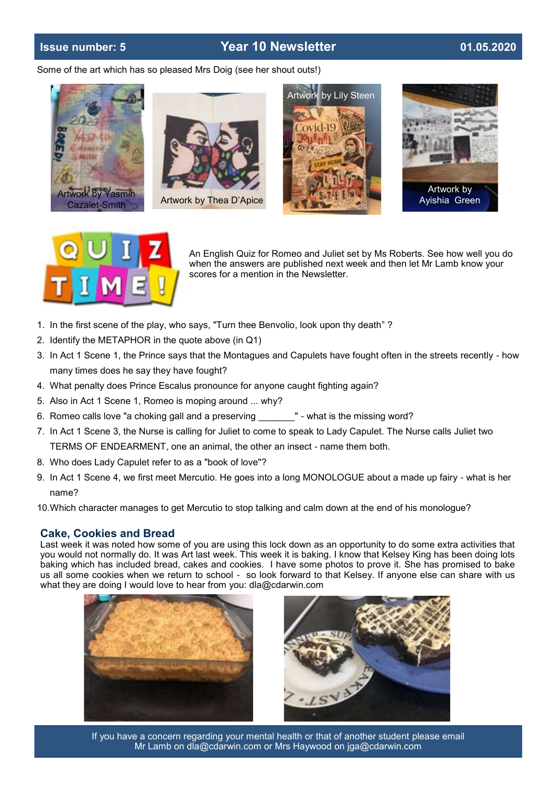# **Issue number: 5 Year 10 Newsletter 01.05.2020**

Some of the art which has so pleased Mrs Doig (see her shout outs!)













An English Quiz for Romeo and Juliet set by Ms Roberts. See how well you do when the answers are published next week and then let Mr Lamb know your scores for a mention in the Newsletter.

- 1. In the first scene of the play, who says, "Turn thee Benvolio, look upon thy death" ?
- 2. Identify the METAPHOR in the quote above (in Q1)
- 3. In Act 1 Scene 1, the Prince says that the Montagues and Capulets have fought often in the streets recently how many times does he say they have fought?
- 4. What penalty does Prince Escalus pronounce for anyone caught fighting again?
- 5. Also in Act 1 Scene 1, Romeo is moping around ... why?
- 6. Romeo calls love "a choking gall and a preserving " what is the missing word?
- 7. In Act 1 Scene 3, the Nurse is calling for Juliet to come to speak to Lady Capulet. The Nurse calls Juliet two TERMS OF ENDEARMENT, one an animal, the other an insect - name them both.
- 8. Who does Lady Capulet refer to as a "book of love"?
- 9. In Act 1 Scene 4, we first meet Mercutio. He goes into a long MONOLOGUE about a made up fairy what is her name?
- 10.Which character manages to get Mercutio to stop talking and calm down at the end of his monologue?

#### **Cake, Cookies and Bread**

Last week it was noted how some of you are using this lock down as an opportunity to do some extra activities that you would not normally do. It was Art last week. This week it is baking. I know that Kelsey King has been doing lots baking which has included bread, cakes and cookies. I have some photos to prove it. She has promised to bake us all some cookies when we return to school - so look forward to that Kelsey. If anyone else can share with us what they are doing I would love to hear from you: dla@cdarwin.com





If you have a concern regarding your mental health or that of another student please email Mr Lamb on dla@cdarwin.com or Mrs Haywood on jga@cdarwin.com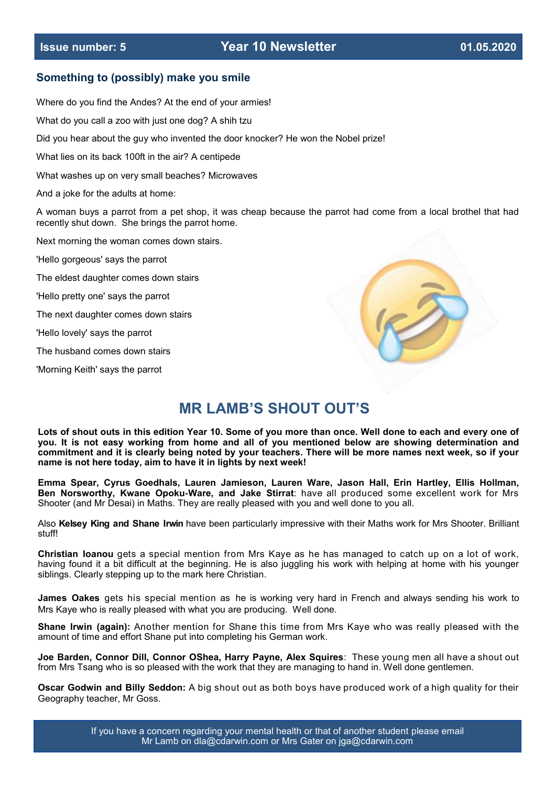#### **Something to (possibly) make you smile**

Where do you find the Andes? At the end of your armies!

What do you call a zoo with just one dog? A shih tzu

Did you hear about the guy who invented the door knocker? He won the Nobel prize!

What lies on its back 100ft in the air? A centipede

What washes up on very small beaches? Microwaves

And a joke for the adults at home:

A woman buys a parrot from a pet shop, it was cheap because the parrot had come from a local brothel that had recently shut down. She brings the parrot home.

Next morning the woman comes down stairs.

'Hello gorgeous' says the parrot

The eldest daughter comes down stairs

'Hello pretty one' says the parrot

The next daughter comes down stairs

'Hello lovely' says the parrot

The husband comes down stairs

'Morning Keith' says the parrot



# **MR LAMB'S SHOUT OUT'S**

**Lots of shout outs in this edition Year 10. Some of you more than once. Well done to each and every one of you. It is not easy working from home and all of you mentioned below are showing determination and commitment and it is clearly being noted by your teachers. There will be more names next week, so if your name is not here today, aim to have it in lights by next week!**

**Emma Spear, Cyrus Goedhals, Lauren Jamieson, Lauren Ware, Jason Hall, Erin Hartley, Ellis Hollman, Ben Norsworthy, Kwane Opoku-Ware, and Jake Stirrat**: have all produced some excellent work for Mrs Shooter (and Mr Desai) in Maths. They are really pleased with you and well done to you all.

Also **Kelsey King and Shane Irwin** have been particularly impressive with their Maths work for Mrs Shooter. Brilliant stuff!

**Christian Ioanou** gets a special mention from Mrs Kaye as he has managed to catch up on a lot of work, having found it a bit difficult at the beginning. He is also juggling his work with helping at home with his younger siblings. Clearly stepping up to the mark here Christian.

**James Oakes** gets his special mention as he is working very hard in French and always sending his work to Mrs Kaye who is really pleased with what you are producing. Well done.

**Shane Irwin (again):** Another mention for Shane this time from Mrs Kaye who was really pleased with the amount of time and effort Shane put into completing his German work.

**Joe Barden, Connor Dill, Connor OShea, Harry Payne, Alex Squires**: These young men all have a shout out from Mrs Tsang who is so pleased with the work that they are managing to hand in. Well done gentlemen.

**Oscar Godwin and Billy Seddon:** A big shout out as both boys have produced work of a high quality for their Geography teacher, Mr Goss.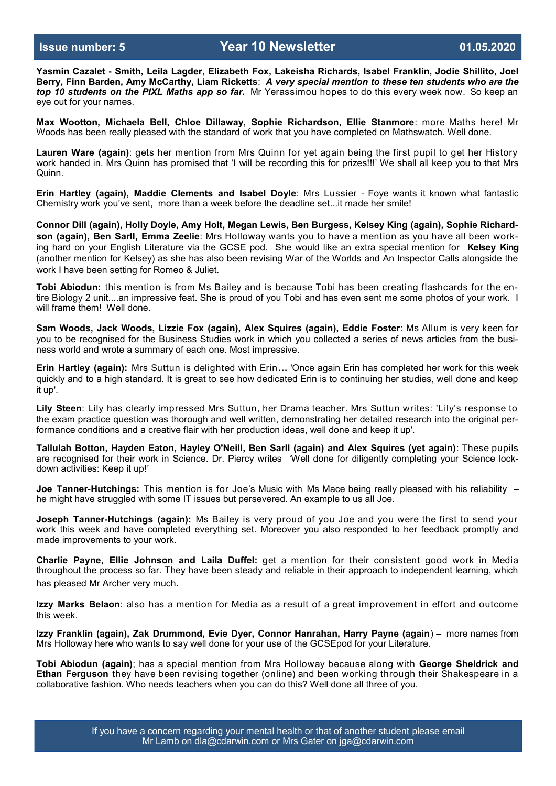**Yasmin Cazalet - Smith, Leila Lagder, Elizabeth Fox, Lakeisha Richards, Isabel Franklin, Jodie Shillito, Joel Berry, Finn Barden, Amy McCarthy, Liam Ricketts**: *A very special mention to these ten students who are the top 10 students on the PIXL Maths app so far.* Mr Yerassimou hopes to do this every week now. So keep an eye out for your names.

**Max Wootton, Michaela Bell, Chloe Dillaway, Sophie Richardson, Ellie Stanmore**: more Maths here! Mr Woods has been really pleased with the standard of work that you have completed on Mathswatch. Well done.

**Lauren Ware (again)**: gets her mention from Mrs Quinn for yet again being the first pupil to get her History work handed in. Mrs Quinn has promised that 'I will be recording this for prizes!!!' We shall all keep you to that Mrs Quinn.

**Erin Hartley (again), Maddie Clements and Isabel Doyle**: Mrs Lussier - Foye wants it known what fantastic Chemistry work you've sent, more than a week before the deadline set...it made her smile!

**Connor Dill (again), Holly Doyle, Amy Holt, Megan Lewis, Ben Burgess, Kelsey King (again), Sophie Richardson (again), Ben Sarll, Emma Zeelie**: Mrs Holloway wants you to have a mention as you have all been working hard on your English Literature via the GCSE pod. She would like an extra special mention for **Kelsey King** (another mention for Kelsey) as she has also been revising War of the Worlds and An Inspector Calls alongside the work I have been setting for Romeo & Juliet.

**Tobi Abiodun:** this mention is from Ms Bailey and is because Tobi has been creating flashcards for the entire Biology 2 unit....an impressive feat. She is proud of you Tobi and has even sent me some photos of your work. I will frame them! Well done.

**Sam Woods, Jack Woods, Lizzie Fox (again), Alex Squires (again), Eddie Foster**: Ms Allum is very keen for you to be recognised for the Business Studies work in which you collected a series of news articles from the business world and wrote a summary of each one. Most impressive.

**Erin Hartley (again):** Mrs Suttun is delighted with Erin**…** 'Once again Erin has completed her work for this week quickly and to a high standard. It is great to see how dedicated Erin is to continuing her studies, well done and keep it up'.

**Lily Steen**: Lily has clearly impressed Mrs Suttun, her Drama teacher. Mrs Suttun writes: 'Lily's response to the exam practice question was thorough and well written, demonstrating her detailed research into the original performance conditions and a creative flair with her production ideas, well done and keep it up'.

**Tallulah Botton, Hayden Eaton, Hayley O'Neill, Ben Sarll (again) and Alex Squires (yet again)**: These pupils are recognised for their work in Science. Dr. Piercy writes 'Well done for diligently completing your Science lockdown activities: Keep it up!'

**Joe Tanner-Hutchings:** This mention is for Joe's Music with Ms Mace being really pleased with his reliability – he might have struggled with some IT issues but persevered. An example to us all Joe.

**Joseph Tanner-Hutchings (again):** Ms Bailey is very proud of you Joe and you were the first to send your work this week and have completed everything set. Moreover you also responded to her feedback promptly and made improvements to your work.

**Charlie Payne, Ellie Johnson and Laila Duffel:** get a mention for their consistent good work in Media throughout the process so far. They have been steady and reliable in their approach to independent learning, which has pleased Mr Archer very much.

**Izzy Marks Belaon**: also has a mention for Media as a result of a great improvement in effort and outcome this week.

**Izzy Franklin (again), Zak Drummond, Evie Dyer, Connor Hanrahan, Harry Payne (again**) – more names from Mrs Holloway here who wants to say well done for your use of the GCSEpod for your Literature.

**Tobi Abiodun (again)**; has a special mention from Mrs Holloway because along with **George Sheldrick and Ethan Ferguson** they have been revising together (online) and been working through their Shakespeare in a collaborative fashion. Who needs teachers when you can do this? Well done all three of you.